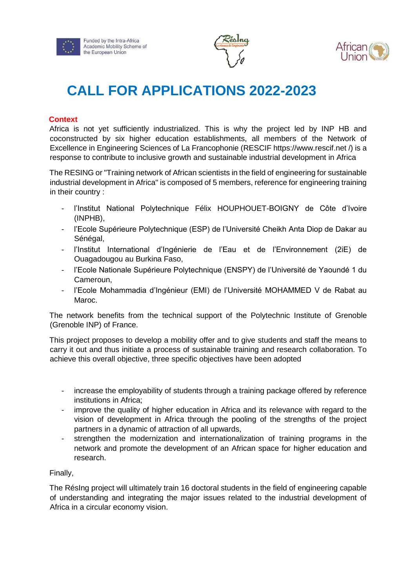





# **CALL FOR APPLICATIONS 2022-2023**

# **Context**

Africa is not yet sufficiently industrialized. This is why the project led by INP HB and coconstructed by six higher education establishments, all members of the Network of Excellence in Engineering Sciences of La Francophonie (RESCIF https://www.rescif.net /) is a response to contribute to inclusive growth and sustainable industrial development in Africa

The RESING or "Training network of African scientists in the field of engineering for sustainable industrial development in Africa" is composed of 5 members, reference for engineering training in their country :

- l'Institut National Polytechnique Félix HOUPHOUET-BOIGNY de Côte d'Ivoire (INPHB),
- l'Ecole Supérieure Polytechnique (ESP) de l'Université Cheikh Anta Diop de Dakar au Sénégal,
- l'Institut International d'Ingénierie de l'Eau et de l'Environnement (2iE) de Ouagadougou au Burkina Faso,
- l'Ecole Nationale Supérieure Polytechnique (ENSPY) de l'Université de Yaoundé 1 du Cameroun,
- l'Ecole Mohammadia d'Ingénieur (EMI) de l'Université MOHAMMED V de Rabat au Maroc.

The network benefits from the technical support of the Polytechnic Institute of Grenoble (Grenoble INP) of France.

This project proposes to develop a mobility offer and to give students and staff the means to carry it out and thus initiate a process of sustainable training and research collaboration. To achieve this overall objective, three specific objectives have been adopted

- increase the employability of students through a training package offered by reference institutions in Africa;
- improve the quality of higher education in Africa and its relevance with regard to the vision of development in Africa through the pooling of the strengths of the project partners in a dynamic of attraction of all upwards,
- strengthen the modernization and internationalization of training programs in the network and promote the development of an African space for higher education and research.

# Finally,

The RésIng project will ultimately train 16 doctoral students in the field of engineering capable of understanding and integrating the major issues related to the industrial development of Africa in a circular economy vision.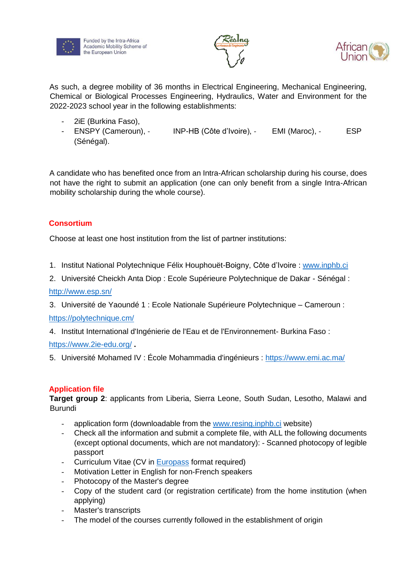



As such, a degree mobility of 36 months in Electrical Engineering, Mechanical Engineering, Chemical or Biological Processes Engineering, Hydraulics, Water and Environment for the 2022-2023 school year in the following establishments:

- 2iE (Burkina Faso),
- ENSPY (Cameroun), INP-HB (Côte d'Ivoire), EMI (Maroc), ESP (Sénégal).

A candidate who has benefited once from an Intra-African scholarship during his course, does not have the right to submit an application (one can only benefit from a single Intra-African mobility scholarship during the whole course).

# **Consortium**

Choose at least one host institution from the list of partner institutions:

- 1. Institut National Polytechnique Félix Houphouët-Boigny, Côte d'Ivoire : [www.inphb.ci](http://www.inphb.ci/)
- 2. Université Cheickh Anta Diop : Ecole Supérieure Polytechnique de Dakar Sénégal :

<http://www.esp.sn/>

3. Université de Yaoundé 1 : Ecole Nationale Supérieure Polytechnique – Cameroun : <https://polytechnique.cm/>

4. Institut International d'Ingénierie de l'Eau et de l'Environnement- Burkina Faso :

<https://www.2ie-edu.org/> **.**

5. Université Mohamed IV : École Mohammadia d'ingénieurs :<https://www.emi.ac.ma/>

# **Application file**

**Target group 2**: applicants from Liberia, Sierra Leone, South Sudan, Lesotho, Malawi and Burundi

- application form (downloadable from the [www.resing.inphb.ci](http://www.resing.inphb.ci/) website)
- Check all the information and submit a complete file, with ALL the following documents (except optional documents, which are not mandatory): - Scanned photocopy of legible passport
- Curriculum Vitae (CV in [Europass](http://europass.cedefop.europa.eu/en/documents/curriculum-vitae/templates-instructions) format required)
- Motivation Letter in English for non-French speakers
- Photocopy of the Master's degree
- Copy of the student card (or registration certificate) from the home institution (when applying)
- Master's transcripts
- The model of the courses currently followed in the establishment of origin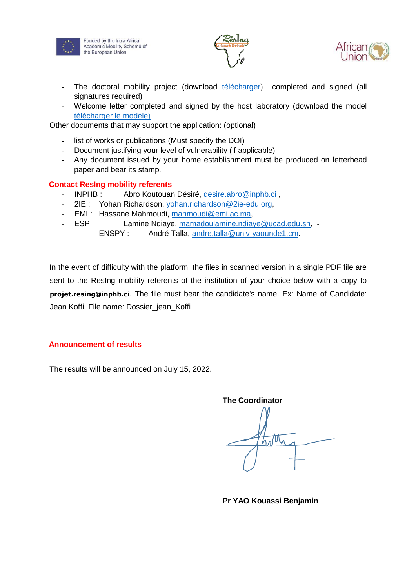

Funded by the Intra-Africa Academic Mobility Scheme of the European Union



- The doctoral mobility project (download [télécharger\) c](https://www.resing.inphb.ci/Doc/TEMPLATE%20PROJET%20DE%20MOBILITE%20DOCTORALE/R%C3%A9sing-projet-mob-doctorat%20OKV1.docx)ompleted and signed (all signatures required)
- Welcome letter completed and signed by the host laboratory (download the model [télécharger le modèle\)](https://www.resing.inphb.ci/Doc/TEMPLATE%20LETTRE%20ACCUEIL%20DOCTORAT/R%C3%A9sIng-projet-mob-doctorat-lettre-acceuil%20OKV1.docx)

Other documents that may support the application: (optional)

- list of works or publications (Must specify the DOI)
- Document justifying your level of vulnerability (if applicable)
- Any document issued by your home establishment must be produced on letterhead paper and bear its stamp.

# **Contact ResIng mobility referents**

- INPHB : Abro Koutouan Désiré, desire.abro@inphb.ci,
- 2IE : Yohan Richardson, yohan.richardson@2ie-edu.org,
- EMI : Hassane Mahmoudi, mahmoudi@emi.ac.ma,
- ESP : Lamine Ndiaye, mamadoulamine.ndiaye@ucad.edu.sn, -
	- ENSPY : André Talla, andre.talla@univ-yaounde1.cm.

In the event of difficulty with the platform, the files in scanned version in a single PDF file are sent to the ResIng mobility referents of the institution of your choice below with a copy to **projet.resing@inphb.ci**. The file must bear the candidate's name. Ex: Name of Candidate: Jean Koffi, File name: Dossier\_jean\_Koffi

# **Announcement of results**

The results will be announced on July 15, 2022.

**The Coordinator**  hatth

**Pr YAO Kouassi Benjamin**